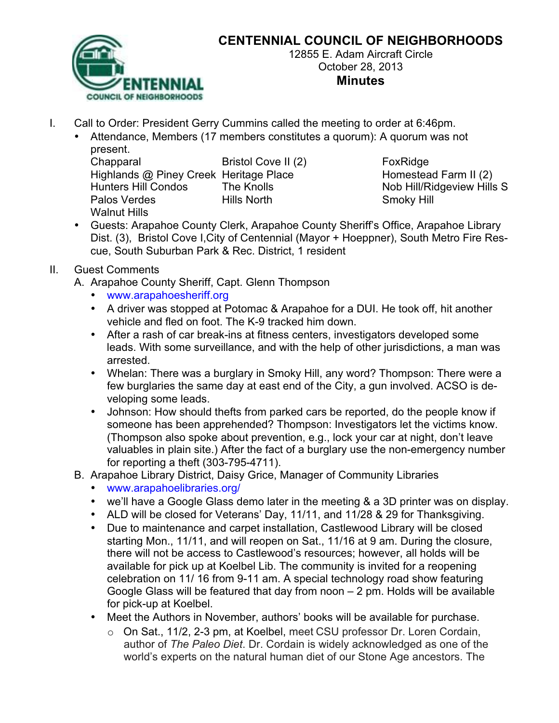

# **CENTENNIAL COUNCIL OF NEIGHBORHOODS**

12855 E. Adam Aircraft Circle October 28, 2013 **Minutes**

- I. Call to Order: President Gerry Cummins called the meeting to order at 6:46pm.
	- Attendance, Members (17 members constitutes a quorum): A quorum was not present.

| Chapparal                              | Bristol Cove II (2) |
|----------------------------------------|---------------------|
| Highlands @ Piney Creek Heritage Place |                     |
| <b>Hunters Hill Condos</b>             | The Knolls          |
| Palos Verdes                           | <b>Hills North</b>  |
| <b>Walnut Hills</b>                    |                     |

**FoxRidge** Homestead Farm II (2) Nob Hill/Ridgeview Hills S **Smoky Hill** 

• Guests: Arapahoe County Clerk, Arapahoe County Sheriff's Office, Arapahoe Library Dist. (3), Bristol Cove I,City of Centennial (Mayor + Hoeppner), South Metro Fire Rescue, South Suburban Park & Rec. District, 1 resident

### II. Guest Comments

- A. Arapahoe County Sheriff, Capt. Glenn Thompson
	- www.arapahoesheriff.org
	- A driver was stopped at Potomac & Arapahoe for a DUI. He took off, hit another vehicle and fled on foot. The K-9 tracked him down.
	- After a rash of car break-ins at fitness centers, investigators developed some leads. With some surveillance, and with the help of other jurisdictions, a man was arrested.
	- Whelan: There was a burglary in Smoky Hill, any word? Thompson: There were a few burglaries the same day at east end of the City, a gun involved. ACSO is developing some leads.
	- Johnson: How should thefts from parked cars be reported, do the people know if someone has been apprehended? Thompson: Investigators let the victims know. (Thompson also spoke about prevention, e.g., lock your car at night, don't leave valuables in plain site.) After the fact of a burglary use the non-emergency number for reporting a theft (303-795-4711).
- B. Arapahoe Library District, Daisy Grice, Manager of Community Libraries
	- www.arapahoelibraries.org/
	- we'll have a Google Glass demo later in the meeting & a 3D printer was on display.
	- ALD will be closed for Veterans' Day, 11/11, and 11/28 & 29 for Thanksgiving.
	- Due to maintenance and carpet installation, Castlewood Library will be closed starting Mon., 11/11, and will reopen on Sat., 11/16 at 9 am. During the closure, there will not be access to Castlewood's resources; however, all holds will be available for pick up at Koelbel Lib. The community is invited for a reopening celebration on 11/ 16 from 9-11 am. A special technology road show featuring Google Glass will be featured that day from noon – 2 pm. Holds will be available for pick-up at Koelbel.
	- Meet the Authors in November, authors' books will be available for purchase.
		- o On Sat., 11/2, 2-3 pm, at Koelbel, meet CSU professor Dr. Loren Cordain, author of *The Paleo Diet*. Dr. Cordain is widely acknowledged as one of the world's experts on the natural human diet of our Stone Age ancestors. The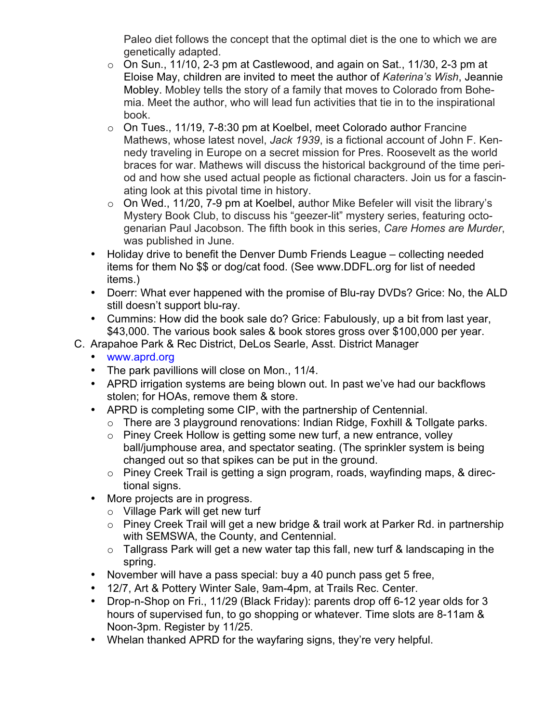Paleo diet follows the concept that the optimal diet is the one to which we are genetically adapted.

- $\circ$  On Sun., 11/10, 2-3 pm at Castlewood, and again on Sat., 11/30, 2-3 pm at Eloise May, children are invited to meet the author of *Katerina's Wish*, Jeannie Mobley. Mobley tells the story of a family that moves to Colorado from Bohemia. Meet the author, who will lead fun activities that tie in to the inspirational book.
- $\circ$  On Tues., 11/19, 7-8:30 pm at Koelbel, meet Colorado author Francine Mathews, whose latest novel, *Jack 1939*, is a fictional account of John F. Kennedy traveling in Europe on a secret mission for Pres. Roosevelt as the world braces for war. Mathews will discuss the historical background of the time period and how she used actual people as fictional characters. Join us for a fascinating look at this pivotal time in history.
- $\circ$  On Wed., 11/20, 7-9 pm at Koelbel, author Mike Befeler will visit the library's Mystery Book Club, to discuss his "geezer-lit" mystery series, featuring octogenarian Paul Jacobson. The fifth book in this series, *Care Homes are Murder*, was published in June.
- Holiday drive to benefit the Denver Dumb Friends League collecting needed items for them No \$\$ or dog/cat food. (See www.DDFL.org for list of needed items.)
- Doerr: What ever happened with the promise of Blu-ray DVDs? Grice: No, the ALD still doesn't support blu-ray.
- Cummins: How did the book sale do? Grice: Fabulously, up a bit from last year, \$43,000. The various book sales & book stores gross over \$100,000 per year.
- C. Arapahoe Park & Rec District, DeLos Searle, Asst. District Manager
	- www.aprd.org
	- The park pavillions will close on Mon., 11/4.
	- APRD irrigation systems are being blown out. In past we've had our backflows stolen; for HOAs, remove them & store.
	- APRD is completing some CIP, with the partnership of Centennial.
		- o There are 3 playground renovations: Indian Ridge, Foxhill & Tollgate parks.
		- $\circ$  Piney Creek Hollow is getting some new turf, a new entrance, volley ball/jumphouse area, and spectator seating. (The sprinkler system is being changed out so that spikes can be put in the ground.
		- o Piney Creek Trail is getting a sign program, roads, wayfinding maps, & directional signs.
	- More projects are in progress.
		- o Village Park will get new turf
		- o Piney Creek Trail will get a new bridge & trail work at Parker Rd. in partnership with SEMSWA, the County, and Centennial.
		- $\circ$  Tallgrass Park will get a new water tap this fall, new turf & landscaping in the spring.
	- November will have a pass special: buy a 40 punch pass get 5 free,
	- 12/7, Art & Pottery Winter Sale, 9am-4pm, at Trails Rec. Center.
	- Drop-n-Shop on Fri., 11/29 (Black Friday): parents drop off 6-12 year olds for 3 hours of supervised fun, to go shopping or whatever. Time slots are 8-11am & Noon-3pm. Register by 11/25.
	- Whelan thanked APRD for the wayfaring signs, they're very helpful.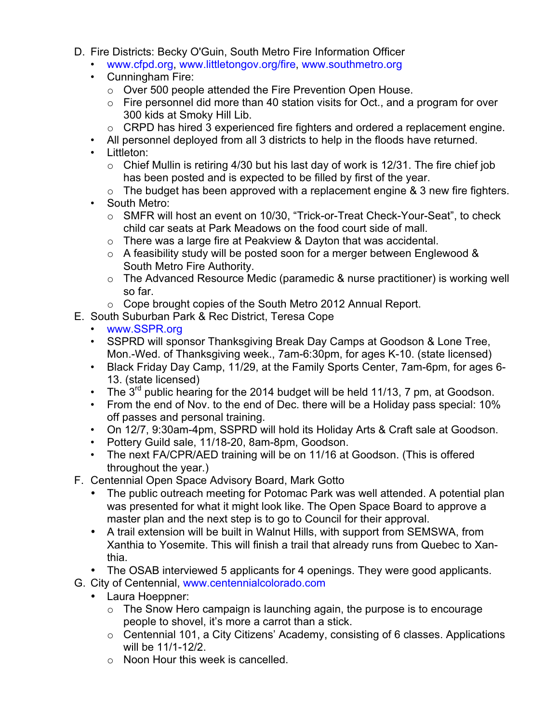- D. Fire Districts: Becky O'Guin, South Metro Fire Information Officer
	- www.cfpd.org, www.littletongov.org/fire, www.southmetro.org
	- Cunningham Fire:
		- o Over 500 people attended the Fire Prevention Open House.
		- $\circ$  Fire personnel did more than 40 station visits for Oct., and a program for over 300 kids at Smoky Hill Lib.
		- o CRPD has hired 3 experienced fire fighters and ordered a replacement engine.
	- All personnel deployed from all 3 districts to help in the floods have returned.
	- Littleton:
		- $\circ$  Chief Mullin is retiring 4/30 but his last day of work is 12/31. The fire chief job has been posted and is expected to be filled by first of the year.
		- $\circ$  The budget has been approved with a replacement engine & 3 new fire fighters.
	- South Metro:
		- o SMFR will host an event on 10/30, "Trick-or-Treat Check-Your-Seat", to check child car seats at Park Meadows on the food court side of mall.
		- $\circ$  There was a large fire at Peakview & Dayton that was accidental.
		- $\circ$  A feasibility study will be posted soon for a merger between Englewood & South Metro Fire Authority.
		- o The Advanced Resource Medic (paramedic & nurse practitioner) is working well so far.
		- o Cope brought copies of the South Metro 2012 Annual Report.
- E. South Suburban Park & Rec District, Teresa Cope
	- www.SSPR.org
	- SSPRD will sponsor Thanksgiving Break Day Camps at Goodson & Lone Tree, Mon.-Wed. of Thanksgiving week., 7am-6:30pm, for ages K-10. (state licensed)
	- Black Friday Day Camp, 11/29, at the Family Sports Center, 7am-6pm, for ages 6- 13. (state licensed)
	- The  $3^{rd}$  public hearing for the 2014 budget will be held 11/13, 7 pm, at Goodson.
	- From the end of Nov. to the end of Dec. there will be a Holiday pass special: 10% off passes and personal training.
	- On 12/7, 9:30am-4pm, SSPRD will hold its Holiday Arts & Craft sale at Goodson.
	- Pottery Guild sale, 11/18-20, 8am-8pm, Goodson.
	- The next FA/CPR/AED training will be on 11/16 at Goodson. (This is offered throughout the year.)
- F. Centennial Open Space Advisory Board, Mark Gotto
	- The public outreach meeting for Potomac Park was well attended. A potential plan was presented for what it might look like. The Open Space Board to approve a master plan and the next step is to go to Council for their approval.
	- A trail extension will be built in Walnut Hills, with support from SEMSWA, from Xanthia to Yosemite. This will finish a trail that already runs from Quebec to Xanthia.
	- The OSAB interviewed 5 applicants for 4 openings. They were good applicants.
- G. City of Centennial, www.centennialcolorado.com
	- Laura Hoeppner:
		- $\circ$  The Snow Hero campaign is launching again, the purpose is to encourage people to shovel, it's more a carrot than a stick.
		- o Centennial 101, a City Citizens' Academy, consisting of 6 classes. Applications will be 11/1-12/2.
		- o Noon Hour this week is cancelled.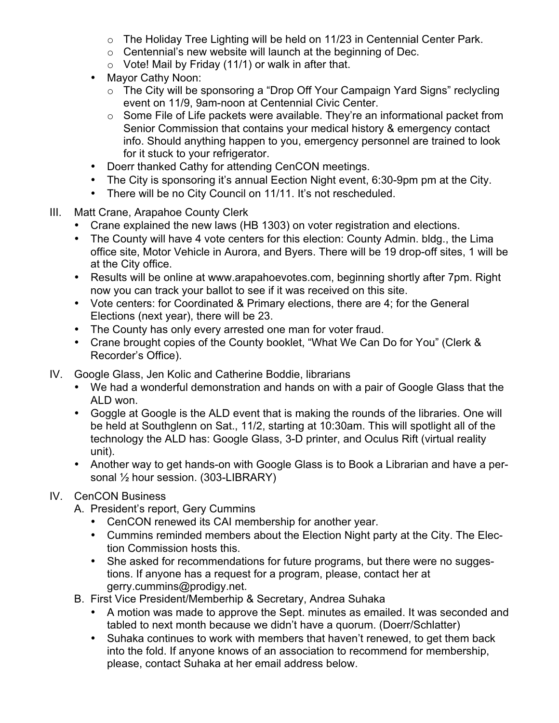- o The Holiday Tree Lighting will be held on 11/23 in Centennial Center Park.
- o Centennial's new website will launch at the beginning of Dec.
- $\circ$  Vote! Mail by Friday (11/1) or walk in after that.
- Mayor Cathy Noon:
	- o The City will be sponsoring a "Drop Off Your Campaign Yard Signs" reclycling event on 11/9, 9am-noon at Centennial Civic Center.
	- o Some File of Life packets were available. They're an informational packet from Senior Commission that contains your medical history & emergency contact info. Should anything happen to you, emergency personnel are trained to look for it stuck to your refrigerator.
- Doerr thanked Cathy for attending CenCON meetings.
- The City is sponsoring it's annual Eection Night event, 6:30-9pm pm at the City.
- There will be no City Council on 11/11. It's not rescheduled.
- III. Matt Crane, Arapahoe County Clerk
	- Crane explained the new laws (HB 1303) on voter registration and elections.
	- The County will have 4 vote centers for this election: County Admin. bldg., the Lima office site, Motor Vehicle in Aurora, and Byers. There will be 19 drop-off sites, 1 will be at the City office.
	- Results will be online at www.arapahoevotes.com, beginning shortly after 7pm. Right now you can track your ballot to see if it was received on this site.
	- Vote centers: for Coordinated & Primary elections, there are 4; for the General Elections (next year), there will be 23.
	- The County has only every arrested one man for voter fraud.
	- Crane brought copies of the County booklet, "What We Can Do for You" (Clerk & Recorder's Office).
- IV. Google Glass, Jen Kolic and Catherine Boddie, librarians
	- We had a wonderful demonstration and hands on with a pair of Google Glass that the ALD won.
	- Goggle at Google is the ALD event that is making the rounds of the libraries. One will be held at Southglenn on Sat., 11/2, starting at 10:30am. This will spotlight all of the technology the ALD has: Google Glass, 3-D printer, and Oculus Rift (virtual reality unit).
	- Another way to get hands-on with Google Glass is to Book a Librarian and have a personal  $\frac{1}{2}$  hour session. (303-LIBRARY)

### IV. CenCON Business

- A. President's report, Gery Cummins
	- CenCON renewed its CAI membership for another year.
	- Cummins reminded members about the Election Night party at the City. The Election Commission hosts this.
	- She asked for recommendations for future programs, but there were no suggestions. If anyone has a request for a program, please, contact her at gerry.cummins@prodigy.net.
- B. First Vice President/Memberhip & Secretary, Andrea Suhaka
	- A motion was made to approve the Sept. minutes as emailed. It was seconded and tabled to next month because we didn't have a quorum. (Doerr/Schlatter)
	- Suhaka continues to work with members that haven't renewed, to get them back into the fold. If anyone knows of an association to recommend for membership, please, contact Suhaka at her email address below.